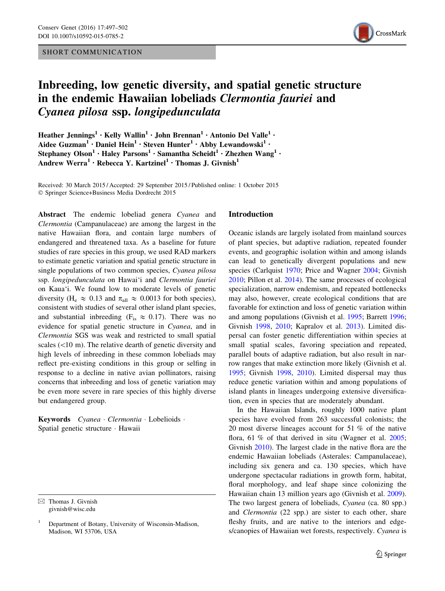## SHORT COMMUNICATION



# Inbreeding, low genetic diversity, and spatial genetic structure in the endemic Hawaiian lobeliads Clermontia fauriei and Cyanea pilosa ssp. longipedunculata

Heather Jennings<sup>1</sup> • Kelly Wallin<sup>1</sup> • John Brennan<sup>1</sup> • Antonio Del Valle<sup>1</sup> • Aidee Guzman<sup>1</sup> · Daniel Hein<sup>1</sup> · Steven Hunter<sup>1</sup> · Abby Lewandowski<sup>1</sup> · Stephaney Olson<sup>1</sup> • Haley Parsons<sup>1</sup> • Samantha Scheidt<sup>1</sup> • Zhezhen Wang<sup>1</sup> • Andrew Werra<sup>1</sup> • Rebecca Y. Kartzinel<sup>1</sup> • Thomas J. Givnish<sup>1</sup>

Received: 30 March 2015 / Accepted: 29 September 2015 / Published online: 1 October 2015 - Springer Science+Business Media Dordrecht 2015

Abstract The endemic lobeliad genera Cyanea and Clermontia (Campanulaceae) are among the largest in the native Hawaiian flora, and contain large numbers of endangered and threatened taxa. As a baseline for future studies of rare species in this group, we used RAD markers to estimate genetic variation and spatial genetic structure in single populations of two common species, Cyanea pilosa ssp. longipedunculata on Hawai'i and Clermontia fauriei on Kaua'i. We found low to moderate levels of genetic diversity (H<sub>e</sub>  $\approx$  0.13 and  $\pi_{all} \approx$  0.0013 for both species), consistent with studies of several other island plant species, and substantial inbreeding ( $F_{is} \approx 0.17$ ). There was no evidence for spatial genetic structure in Cyanea, and in Clermontia SGS was weak and restricted to small spatial scales  $(\leq 10 \text{ m})$ . The relative dearth of genetic diversity and high levels of inbreeding in these common lobeliads may reflect pre-existing conditions in this group or selfing in response to a decline in native avian pollinators, raising concerns that inbreeding and loss of genetic variation may be even more severe in rare species of this highly diverse but endangered group.

Keywords Cyanea · Clermontia · Lobelioids · Spatial genetic structure - Hawaii

 $\boxtimes$  Thomas J. Givnish givnish@wisc.edu

#### Introduction

Oceanic islands are largely isolated from mainland sources of plant species, but adaptive radiation, repeated founder events, and geographic isolation within and among islands can lead to genetically divergent populations and new species (Carlquist [1970](#page-4-0); Price and Wagner [2004](#page-5-0); Givnish [2010](#page-5-0); Pillon et al. [2014\)](#page-5-0). The same processes of ecological specialization, narrow endemism, and repeated bottlenecks may also, however, create ecological conditions that are favorable for extinction and loss of genetic variation within and among populations (Givnish et al. [1995;](#page-5-0) Barrett [1996](#page-4-0); Givnish [1998](#page-5-0), [2010;](#page-5-0) Kapralov et al. [2013](#page-5-0)). Limited dispersal can foster genetic differentiation within species at small spatial scales, favoring speciation and repeated, parallel bouts of adaptive radiation, but also result in narrow ranges that make extinction more likely (Givnish et al. [1995](#page-5-0); Givnish [1998](#page-5-0), [2010\)](#page-5-0). Limited dispersal may thus reduce genetic variation within and among populations of island plants in lineages undergoing extensive diversification, even in species that are moderately abundant.

In the Hawaiian Islands, roughly 1000 native plant species have evolved from 263 successful colonists; the 20 most diverse lineages account for 51 % of the native flora, 61 % of that derived in situ (Wagner et al. [2005](#page-5-0); Givnish [2010\)](#page-5-0). The largest clade in the native flora are the endemic Hawaiian lobeliads (Asterales: Campanulaceae), including six genera and ca. 130 species, which have undergone spectacular radiations in growth form, habitat, floral morphology, and leaf shape since colonizing the Hawaiian chain 13 million years ago (Givnish et al. [2009](#page-5-0)). The two largest genera of lobeliads, Cyanea (ca. 80 spp.) and Clermontia (22 spp.) are sister to each other, share fleshy fruits, and are native to the interiors and edges/canopies of Hawaiian wet forests, respectively. Cyanea is

<sup>1</sup> Department of Botany, University of Wisconsin-Madison, Madison, WI 53706, USA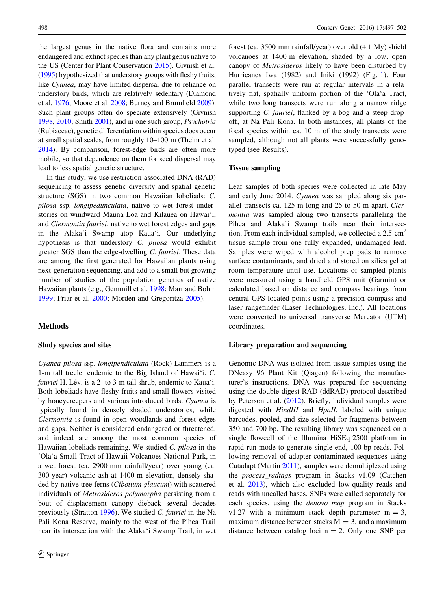the largest genus in the native flora and contains more endangered and extinct species than any plant genus native to the US (Center for Plant Conservation [2015\)](#page-4-0). Givnish et al. [\(1995\)](#page-5-0) hypothesized that understory groups with fleshy fruits, like Cyanea, may have limited dispersal due to reliance on understory birds, which are relatively sedentary (Diamond et al. [1976](#page-4-0); Moore et al. [2008;](#page-5-0) Burney and Brumfield [2009](#page-4-0)). Such plant groups often do speciate extensively (Givnish [1998,](#page-5-0) [2010](#page-5-0); Smith [2001](#page-5-0)), and in one such group, Psychotria (Rubiaceae), genetic differentiation within species does occur at small spatial scales, from roughly 10–100 m (Theim et al. [2014\)](#page-5-0). By comparison, forest-edge birds are often more mobile, so that dependence on them for seed dispersal may lead to less spatial genetic structure.

In this study, we use restriction-associated DNA (RAD) sequencing to assess genetic diversity and spatial genetic structure (SGS) in two common Hawaiian lobeliads: C. pilosa ssp. longipedunculata, native to wet forest understories on windward Mauna Loa and Kilauea on Hawai'i, and Clermontia fauriei, native to wet forest edges and gaps in the Alaka'i Swamp atop Kaua'i. Our underlying hypothesis is that understory C. pilosa would exhibit greater SGS than the edge-dwelling C. fauriei. These data are among the first generated for Hawaiian plants using next-generation sequencing, and add to a small but growing number of studies of the population genetics of native Hawaiian plants (e.g., Gemmill et al. [1998](#page-5-0); Marr and Bohm [1999;](#page-5-0) Friar et al. [2000;](#page-4-0) Morden and Gregoritza [2005](#page-5-0)).

# Methods

#### Study species and sites

Cyanea pilosa ssp. longipendiculata (Rock) Lammers is a 1-m tall treelet endemic to the Big Island of Hawai'i. C. fauriei H. Lév. is a 2- to 3-m tall shrub, endemic to Kaua'i. Both lobeliads have fleshy fruits and small flowers visited by honeycreepers and various introduced birds. Cyanea is typically found in densely shaded understories, while Clermontia is found in open woodlands and forest edges and gaps. Neither is considered endangered or threatened, and indeed are among the most common species of Hawaiian lobeliads remaining. We studied C. pilosa in the 'Ola'a Small Tract of Hawaii Volcanoes National Park, in a wet forest (ca. 2900 mm rainfall/year) over young (ca. 300 year) volcanic ash at 1400 m elevation, densely shaded by native tree ferns (Cibotium glaucum) with scattered individuals of Metrosideros polymorpha persisting from a bout of displacement canopy dieback several decades previously (Stratton [1996\)](#page-5-0). We studied C. fauriei in the Na Pali Kona Reserve, mainly to the west of the Pihea Trail near its intersection with the Alaka'i Swamp Trail, in wet forest (ca. 3500 mm rainfall/year) over old (4.1 My) shield volcanoes at 1400 m elevation, shaded by a low, open canopy of Metrosideros likely to have been disturbed by Hurricanes Iwa (1982) and Iniki (1992) (Fig. [1\)](#page-2-0). Four parallel transects were run at regular intervals in a relatively flat, spatially uniform portion of the 'Ola'a Tract, while two long transects were run along a narrow ridge supporting *C. fauriei*, flanked by a bog and a steep dropoff, at Na Pali Kona. In both instances, all plants of the focal species within ca. 10 m of the study transects were sampled, although not all plants were successfully genotyped (see Results).

### Tissue sampling

Leaf samples of both species were collected in late May and early June 2014. Cyanea was sampled along six parallel transects ca. 125 m long and 25 to 50 m apart. Clermontia was sampled along two transects paralleling the Pihea and Alaka'i Swamp trails near their intersection. From each individual sampled, we collected a  $2.5 \text{ cm}^2$ tissue sample from one fully expanded, undamaged leaf. Samples were wiped with alcohol prep pads to remove surface contaminants, and dried and stored on silica gel at room temperature until use. Locations of sampled plants were measured using a handheld GPS unit (Garmin) or calculated based on distance and compass bearings from central GPS-located points using a precision compass and laser rangefinder (Laser Technologies, Inc.). All locations were converted to universal transverse Mercator (UTM) coordinates.

#### Library preparation and sequencing

Genomic DNA was isolated from tissue samples using the DNeasy 96 Plant Kit (Qiagen) following the manufacturer's instructions. DNA was prepared for sequencing using the double-digest RAD (ddRAD) protocol described by Peterson et al. [\(2012](#page-5-0)). Briefly, individual samples were digested with HindIII and HpaII, labeled with unique barcodes, pooled, and size-selected for fragments between 350 and 700 bp. The resulting library was sequenced on a single flowcell of the Illumina HiSEq 2500 platform in rapid run mode to generate single-end, 100 bp reads. Following removal of adapter-contaminated sequences using Cutadapt (Martin [2011\)](#page-5-0), samples were demultiplexed using the process\_radtags program in Stacks v1.09 (Catchen et al. [2013](#page-4-0)), which also excluded low-quality reads and reads with uncalled bases. SNPs were called separately for each species, using the denovo\_map program in Stacks v1.27 with a minimum stack depth parameter  $m = 3$ , maximum distance between stacks  $M = 3$ , and a maximum distance between catalog loci  $n = 2$ . Only one SNP per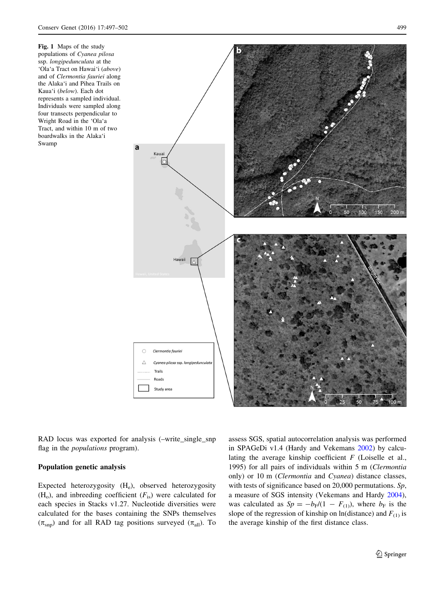<span id="page-2-0"></span>Fig. 1 Maps of the study populations of Cyanea pilosa ssp. longipedunculata at the 'Ola'a Tract on Hawai'i (above) and of Clermontia fauriei along the Alaka'i and Pihea Trails on Kaua'i (below). Each dot represents a sampled individual. Individuals were sampled along four transects perpendicular to Wright Road in the 'Ola'a Tract, and within 10 m of two boardwalks in the Alaka'i Swamp



RAD locus was exported for analysis (–write\_single\_snp flag in the populations program).

## Population genetic analysis

Expected heterozygosity (H<sub>e</sub>), observed heterozygosity  $(H<sub>o</sub>)$ , and inbreeding coefficient  $(F<sub>is</sub>)$  were calculated for each species in Stacks v1.27. Nucleotide diversities were calculated for the bases containing the SNPs themselves  $(\pi_{\text{sup}})$  and for all RAD tag positions surveyed  $(\pi_{all})$ . To assess SGS, spatial autocorrelation analysis was performed in SPAGeDi v1.4 (Hardy and Vekemans [2002\)](#page-5-0) by calculating the average kinship coefficient  $F$  (Loiselle et al., 1995) for all pairs of individuals within 5 m (Clermontia only) or 10 m (Clermontia and Cyanea) distance classes, with tests of significance based on 20,000 permutations. Sp, a measure of SGS intensity (Vekemans and Hardy [2004](#page-5-0)), was calculated as  $Sp = -b_F/(1 - F_{(1)})$ , where  $b_F$  is the slope of the regression of kinship on ln(distance) and  $F_{(1)}$  is the average kinship of the first distance class.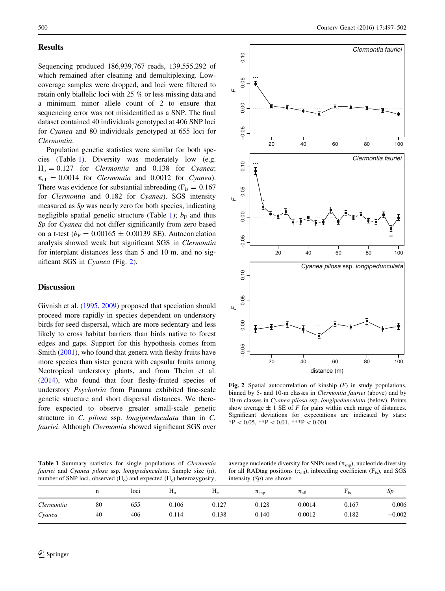## <span id="page-3-0"></span>**Results**

Sequencing produced 186,939,767 reads, 139,555,292 of which remained after cleaning and demultiplexing. Lowcoverage samples were dropped, and loci were filtered to retain only biallelic loci with 25 % or less missing data and a minimum minor allele count of 2 to ensure that sequencing error was not misidentified as a SNP. The final dataset contained 40 individuals genotyped at 406 SNP loci for Cyanea and 80 individuals genotyped at 655 loci for Clermontia.

Population genetic statistics were similar for both species (Table 1). Diversity was moderately low (e.g.  $H_e = 0.127$  for *Clermontia* and 0.138 for *Cyanea*;  $\pi_{\text{all}} = 0.0014$  for *Clermontia* and 0.0012 for *Cyanea*). There was evidence for substantial inbreeding  $(F_{is} = 0.167)$ for Clermontia and 0.182 for Cyanea). SGS intensity measured as Sp was nearly zero for both species, indicating negligible spatial genetic structure (Table 1);  $b_F$  and thus Sp for Cyanea did not differ significantly from zero based on a t-test ( $b_F = 0.00165 \pm 0.00139$  SE). Autocorrelation analysis showed weak but significant SGS in Clermontia for interplant distances less than 5 and 10 m, and no significant SGS in Cyanea (Fig. 2).

# Discussion

Givnish et al. [\(1995](#page-5-0), [2009](#page-5-0)) proposed that speciation should proceed more rapidly in species dependent on understory birds for seed dispersal, which are more sedentary and less likely to cross habitat barriers than birds native to forest edges and gaps. Support for this hypothesis comes from Smith ([2001\)](#page-5-0), who found that genera with fleshy fruits have more species than sister genera with capsular fruits among Neotropical understory plants, and from Theim et al. [\(2014](#page-5-0)), who found that four fleshy-fruited species of understory Psychotria from Panama exhibited fine-scale genetic structure and short dispersal distances. We therefore expected to observe greater small-scale genetic structure in C. pilosa ssp. longipenduculata than in C. fauriei. Although Clermontia showed significant SGS over



Fig. 2 Spatial autocorrelation of kinship  $(F)$  in study populations, binned by 5- and 10-m classes in *Clermontia fauriei* (above) and by 10-m classes in Cyanea pilosa ssp. longipedunculata (below). Points show average  $\pm$  1 SE of F for pairs within each range of distances. Significant deviations for expectations are indicated by stars:  $*P<0.05$ ,  $*P<0.01$ ,  $**P<0.001$ 

Table 1 Summary statistics for single populations of *Clermontia* fauriei and Cyanea pilosa ssp. longipedunculata. Sample size (n), number of SNP loci, observed  $(H_0)$  and expected  $(H_e)$  heterozygosity,

average nucleotide diversity for SNPs used  $(\pi_{\text{sup}})$ , nucleotide diversity for all RADtag positions  $(\pi_{all})$ , inbreeding coefficient (F<sub>is</sub>), and SGS intensity  $(S_p)$  are shown

|            | n  | loci | H <sub>0</sub> | $H_e$ | $\pi_{\rm snp}$ | $\pi_{all}$ | $-1s$ | Sp       |
|------------|----|------|----------------|-------|-----------------|-------------|-------|----------|
| Clermontia | 80 | 655  | 0.106          | 0.127 | 0.128           | 0.0014      | 0.167 | 0.006    |
| Cyanea     | 40 | 406  | 0.114          | 0.138 | 0.140           | 0.0012      | 0.182 | $-0.002$ |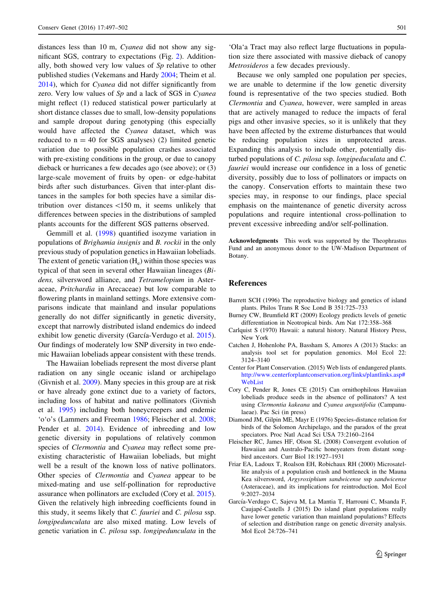<span id="page-4-0"></span>distances less than 10 m, Cyanea did not show any significant SGS, contrary to expectations (Fig. [2](#page-3-0)). Additionally, both showed very low values of Sp relative to other published studies (Vekemans and Hardy [2004](#page-5-0); Theim et al. [2014\)](#page-5-0), which for Cyanea did not differ significantly from zero. Very low values of  $Sp$  and a lack of SGS in Cyanea might reflect (1) reduced statistical power particularly at short distance classes due to small, low-density populations and sample dropout during genotyping (this especially would have affected the Cyanea dataset, which was reduced to  $n = 40$  for SGS analyses) (2) limited genetic variation due to possible population crashes associated with pre-existing conditions in the group, or due to canopy dieback or hurricanes a few decades ago (see above); or (3) large-scale movement of fruits by open- or edge-habitat birds after such disturbances. Given that inter-plant distances in the samples for both species have a similar distribution over distances  $<$ 150 m, it seems unlikely that differences between species in the distributions of sampled plants accounts for the different SGS patterns observed.

Gemmill et al. ([1998](#page-5-0)) quantified isozyme variation in populations of Brighamia insignis and B. rockii in the only previous study of population genetics in Hawaiian lobeliads. The extent of genetic variation  $(H_e)$  within those species was typical of that seen in several other Hawaiian lineages (Bidens, silversword alliance, and Tetramelopium in Asteraceae, Pritchardia in Arecaceae) but low comparable to flowering plants in mainland settings. More extensive comparisons indicate that mainland and insular populations generally do not differ significantly in genetic diversity, except that narrowly distributed island endemics do indeed exhibit low genetic diversity (García-Verdugo et al. 2015). Our findings of moderately low SNP diversity in two endemic Hawaiian lobeliads appear consistent with these trends.

The Hawaiian lobeliads represent the most diverse plant radiation on any single oceanic island or archipelago (Givnish et al. [2009\)](#page-5-0). Many species in this group are at risk or have already gone extinct due to a variety of factors, including loss of habitat and native pollinators (Givnish et al. [1995](#page-5-0)) including both honeycreepers and endemic 'o'o's (Lammers and Freeman [1986;](#page-5-0) Fleischer et al. 2008; Pender et al. [2014](#page-5-0)). Evidence of inbreeding and low genetic diversity in populations of relatively common species of Clermontia and Cyanea may reflect some preexisting characteristic of Hawaiian lobeliads, but might well be a result of the known loss of native pollinators. Other species of Clermontia and Cyanea appear to be mixed-mating and use self-pollination for reproductive assurance when pollinators are excluded (Cory et al. 2015). Given the relatively high inbreeding coefficients found in this study, it seems likely that C. fauriei and C. pilosa ssp. longipedunculata are also mixed mating. Low levels of genetic variation in C. pilosa ssp. longipedunculata in the

'Ola'a Tract may also reflect large fluctuations in population size there associated with massive dieback of canopy Metrosideros a few decades previously.

Because we only sampled one population per species, we are unable to determine if the low genetic diversity found is representative of the two species studied. Both Clermontia and Cyanea, however, were sampled in areas that are actively managed to reduce the impacts of feral pigs and other invasive species, so it is unlikely that they have been affected by the extreme disturbances that would be reducing population sizes in unprotected areas. Expanding this analysis to include other, potentially disturbed populations of C. pilosa ssp. longipeduculata and C. fauriei would increase our confidence in a loss of genetic diversity, possibly due to loss of pollinators or impacts on the canopy. Conservation efforts to maintain these two species may, in response to our findings, place special emphasis on the maintenance of genetic diversity across populations and require intentional cross-pollination to prevent excessive inbreeding and/or self-pollination.

Acknowledgments This work was supported by the Theophrastus Fund and an anonymous donor to the UW-Madison Department of Botany.

#### References

- Barrett SCH (1996) The reproductive biology and genetics of island plants. Philos Trans R Soc Lond B 351:725–733
- Burney CW, Brumfield RT (2009) Ecology predicts levels of genetic differentiation in Neotropical birds. Am Nat 172:358–368
- Carlquist S (1970) Hawaii: a natural history. Natural History Press, New York
- Catchen J, Hohenlohe PA, Bassham S, Amores A (2013) Stacks: an analysis tool set for population genomics. Mol Ecol 22: 3124–3140
- Center for Plant Conservation. (2015) Web lists of endangered plants. [http://www.centerforplantconservation.org/links/plantlinks.asp#](http://www.centerforplantconservation.org/links/plantlinks.asp#WebList) [WebList](http://www.centerforplantconservation.org/links/plantlinks.asp#WebList)
- Cory C, Pender R, Jones CE (2015) Can ornithophilous Hawaiian lobeliads produce seeds in the absence of pollinators? A test using Clermontia kakeana and Cyanea angustifolia (Campanulaeae). Pac Sci (in press)
- Diamond JM, Gilpin ME, Mayr E (1976) Species-distance relation for birds of the Solomon Archipelago, and the paradox of the great speciators. Proc Natl Acad Sci USA 73:2160–2164
- Fleischer RC, James HF, Olson SL (2008) Convergent evolution of Hawaiian and Australo-Pacific honeyeaters from distant songbird ancestors. Curr Biol 18:1927–1931
- Friar EA, Ladoux T, Roalson EH, Robichaux RH (2000) Microsatellite analysis of a population crash and bottleneck in the Mauna Kea silversword, Argyroxiphium sandwicense ssp sandwicense (Asteraceae), and its implications for reintroduction. Mol Ecol 9:2027–2034
- García-Verdugo C, Sajeva M, La Mantia T, Harrouni C, Msanda F, Caujapé-Castells J (2015) Do island plant populations really have lower genetic variation than mainland populations? Effects of selection and distribution range on genetic diversity analysis. Mol Ecol 24:726–741